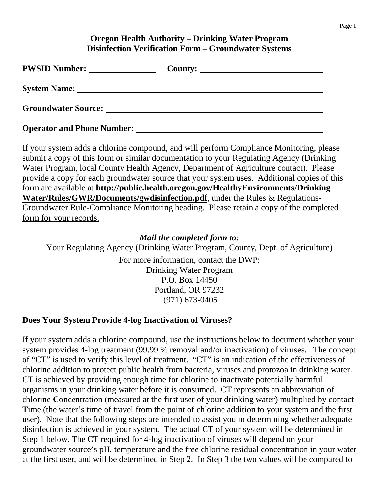### **Oregon Health Authority – Drinking Water Program Disinfection Verification Form – Groundwater Systems**

| <b>PWSID Number:</b>              | County:<br><u> 1989 - Jan Sterling Sterling (d. 1989)</u> |
|-----------------------------------|-----------------------------------------------------------|
| <b>System Name:</b>               |                                                           |
| <b>Groundwater Source:</b>        |                                                           |
| <b>Operator and Phone Number:</b> |                                                           |

If your system adds a chlorine compound, and will perform Compliance Monitoring, please submit a copy of this form or similar documentation to your Regulating Agency (Drinking Water Program, local County Health Agency, Department of Agriculture contact). Please provide a copy for each groundwater source that your system uses. Additional copies of this form are available at **http://public.health.oregon.gov/HealthyEnvironments/Drinking Water/Rules/GWR/Documents/gwdisinfection.pdf**, under the Rules & Regulations-Groundwater Rule-Compliance Monitoring heading. Please retain a copy of the completed form for your records.

#### *Mail the completed form to:*

Your Regulating Agency (Drinking Water Program, County, Dept. of Agriculture)

For more information, contact the DWP: Drinking Water Program P.O. Box 14450 Portland, OR 97232 (971) 673-0405

#### **Does Your System Provide 4-log Inactivation of Viruses?**

If your system adds a chlorine compound, use the instructions below to document whether your system provides 4-log treatment (99.99 % removal and/or inactivation) of viruses. The concept of "CT" is used to verify this level of treatment. "CT" is an indication of the effectiveness of chlorine addition to protect public health from bacteria, viruses and protozoa in drinking water. CT is achieved by providing enough time for chlorine to inactivate potentially harmful organisms in your drinking water before it is consumed. CT represents an abbreviation of chlorine **C**oncentration (measured at the first user of your drinking water) multiplied by contact Time (the water's time of travel from the point of chlorine addition to your system and the first user). Note that the following steps are intended to assist you in determining whether adequate disinfection is achieved in your system. The actual CT of your system will be determined in Step 1 below. The CT required for 4-log inactivation of viruses will depend on your groundwater source's pH, temperature and the free chlorine residual concentration in your water at the first user, and will be determined in Step 2. In Step 3 the two values will be compared to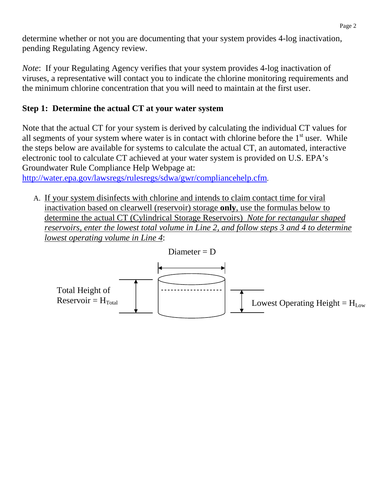determine whether or not you are documenting that your system provides 4-log inactivation, pending Regulating Agency review.

*Note*: If your Regulating Agency verifies that your system provides 4-log inactivation of viruses, a representative will contact you to indicate the chlorine monitoring requirements and the minimum chlorine concentration that you will need to maintain at the first user.

## **Step 1: Determine the actual CT at your water system**

Note that the actual CT for your system is derived by calculating the individual CT values for all segments of your system where water is in contact with chlorine before the  $1<sup>st</sup>$  user. While the steps below are available for systems to calculate the actual CT, an automated, interactive electronic tool to calculate CT achieved at your water system is provided on U.S. EPA's Groundwater Rule Compliance Help Webpage at:

http://water.epa.gov/lawsregs/rulesregs/sdwa/gwr/compliancehelp.cfm.

A. If your system disinfects with chlorine and intends to claim contact time for viral inactivation based on clearwell (reservoir) storage **only**, use the formulas below to determine the actual CT (Cylindrical Storage Reservoirs) *Note for rectangular shaped reservoirs, enter the lowest total volume in Line 2, and follow steps 3 and 4 to determine lowest operating volume in Line 4*:

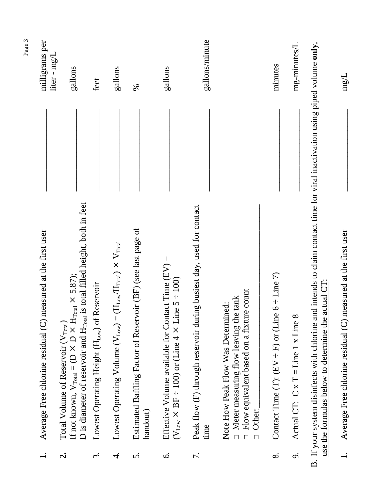|                   | Average Free chlorine residual (C) measured at the first user                                                                                                                                                                      | milligrams per<br>liter - mg/L |
|-------------------|------------------------------------------------------------------------------------------------------------------------------------------------------------------------------------------------------------------------------------|--------------------------------|
| નં                | D is diameter of reservoir and H <sub>rotal</sub> is total filled height, both in feet<br>If not known, $V_{\text{Total}} = (D \times D \times H_{\text{Total}} \times 5.87)$ ;<br>Total Volume of Reservoir (V <sub>Total</sub> ) | gallons                        |
| $\dot{\tilde{3}}$ | Reservoir<br>Lowest Operating Height (H <sub>Low</sub> ) of                                                                                                                                                                        | feet                           |
| $\overline{4}$    | $(H_{\text{Low}}/H_{\text{Total}}) \times V_{\text{Total}}$<br>Lowest Operating Volume ( $V_{Low}$ ) =                                                                                                                             | gallons                        |
| s.                | Estimated Baffling Factor of Reservoir (BF) (see last page of<br>handout)                                                                                                                                                          | %                              |
| $\dot{\circ}$     | Effective Volume available for Contact Time $(EV)$ =<br>$(V_{Low} \times BF + 100)$ or (Line 4 $\times$ Line 5 + 100)                                                                                                              | gallons                        |
| 7.                | Peak flow (F) through reservoir during busiest day, used for contact<br>time                                                                                                                                                       | gallons/minute                 |
|                   | Flow equivalent based on a fixture count<br>Meter measuring flow leaving the tank<br>Note How Peak Flow Was Determined:<br>Other:<br>$\Box$<br>$\Box$                                                                              |                                |
| $\infty$          | Contact Time (T): (EV $\div$ F) or (Line 6 $\div$ Line 7)                                                                                                                                                                          | minutes                        |
| ö                 | Actual CT: $C \times T = Line 1 \times Line 8$                                                                                                                                                                                     | mg-minutes/L                   |
|                   | B. If your system disinfects with chlorine and intends to claim contact time for viral inactivation using piped volume only,<br>actual CT<br>use the formulas below to determine the                                               |                                |
|                   | Average Free chlorine residual $(C)$ measured at the first user                                                                                                                                                                    | $mg/L$                         |

Page 3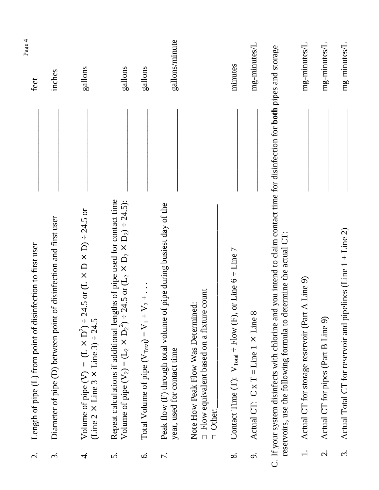| $\dot{\mathcal{C}}$  | Length of pipe (L) from point of disinfection to first user                                                                                                                                      | Page 4<br>feet |
|----------------------|--------------------------------------------------------------------------------------------------------------------------------------------------------------------------------------------------|----------------|
| $\dot{\mathfrak{c}}$ | of disinfection and first user<br>Diameter of pipe (D) between point                                                                                                                             | inches         |
| $\overline{4}$       | Volume of pipe (V) = $(L \times D^2) \div 24.5$ or $(L \times D \times D) \div 24.5$ or (Line 2 $\times$ Line 3 $\times$ Line 3) $\div 24.5$                                                     | gallons        |
| 5.                   | Repeat calculations if additional lengths of pipe used for contact time<br>24.5 or $(L_2 \times D_2 \times D_2) \div 24.5$ ):<br>Volume of pipe $(V_2) = (L_2 \times D_2^2)$ :                   | gallons        |
| Ġ.                   | $V_2 + \ldots$<br>Total Volume of pipe $(V_{Total}) = V_1 +$                                                                                                                                     | gallons        |
| 7.                   | of pipe during busiest day of the<br>Peak flow (F) through total volume<br>year, used for contact time                                                                                           | gallons/minute |
|                      | $\square$ Flow equivalent based on a fixture count<br>Note How Peak Flow Was Determined:<br>D Other:                                                                                             |                |
| $\infty$             | Contact Time (T): $V_{\text{Total}} \div \text{Flow}$ (F), or Line 6 $\div$ Line 7                                                                                                               | minutes        |
| o.                   | $\infty$<br>Actual CT: $C \times T = Line 1 \times Line$                                                                                                                                         | mg-minutes/L   |
|                      | C. If your system disinfects with chlorine and you intend to claim contact time for disinfection for both pipes and storage<br>reservoirs, use the following formula to determine the actual CT: |                |
| $\frac{1}{1}$        | Actual CT for storage reservoir (Part A Line 9)                                                                                                                                                  | mg-minutes/L   |
| $\dot{\mathcal{C}}$  | Actual CT for pipes (Part B Line 9)                                                                                                                                                              | mg-minutes/L   |
| $\dot{\mathfrak{c}}$ | Actual Total CT for reservoir and pipelines (Line 1 + Line 2)                                                                                                                                    | mg-minutes/L   |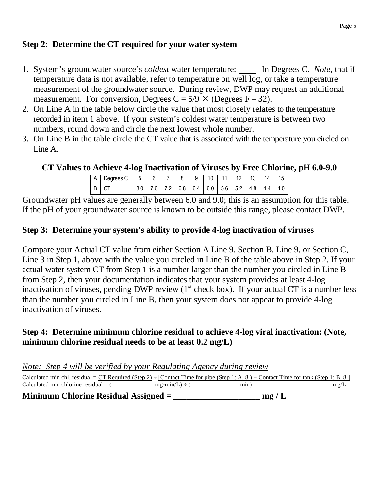### **Step 2: Determine the CT required for your water system**

- 1. System's groundwater source's *coldest* water temperature: In Degrees C. *Note*, that if temperature data is not available, refer to temperature on well log, or take a temperature measurement of the groundwater source. During review, DWP may request an additional measurement. For conversion, Degrees  $C = 5/9 \times ($ Degrees  $F - 32)$ .
- 2. On Line A in the table below circle the value that most closely relates to the temperature recorded in item 1 above. If your system's coldest water temperature is between two numbers, round down and circle the next lowest whole number.
- 3. On Line B in the table circle the CT value that is associated with the temperature you circled on Line A.

#### **CT Values to Achieve 4-log Inactivation of Viruses by Free Chlorine, pH 6.0-9.0**

| A   Degrees C   5   6   7   8   9   10   11   12   13   14   15 |  |  |  |  |  |                                                                 |
|-----------------------------------------------------------------|--|--|--|--|--|-----------------------------------------------------------------|
| BICT                                                            |  |  |  |  |  | 8.0   7.6   7.2   6.8   6.4   6.0   5.6   5.2   4.8   4.4   4.0 |

Groundwater pH values are generally between 6.0 and 9.0; this is an assumption for this table. If the pH of your groundwater source is known to be outside this range, please contact DWP.

#### **Step 3: Determine your system's ability to provide 4-log inactivation of viruses**

Compare your Actual CT value from either Section A Line 9, Section B, Line 9, or Section C, Line 3 in Step 1, above with the value you circled in Line B of the table above in Step 2. If your actual water system CT from Step 1 is a number larger than the number you circled in Line B from Step 2, then your documentation indicates that your system provides at least 4-log inactivation of viruses, pending DWP review  $(1<sup>st</sup>$  check box). If your actual CT is a number less than the number you circled in Line B, then your system does not appear to provide 4-log inactivation of viruses.

#### **Step 4: Determine minimum chlorine residual to achieve 4-log viral inactivation: (Note, minimum chlorine residual needs to be at least 0.2 mg/L)**

*Note: Step 4 will be verified by your Regulating Agency during review*

Calculated min chl. residual = <u>CT Required (Step 2)</u> ÷ [Contact Time for pipe (Step 1: A. 8.) + Contact Time for tank (Step 1: B. 8.]<br>Calculated min chlorine residual = (ne-min/L) ÷ (ne-min/L) ÷ (ne-min) = Calculated min chlorine residual =  $(\underline{\hspace{1cm}} \underline{\hspace{1cm}} mg-min/L)$  ÷  $(\underline{\hspace{1cm}} mim)$  =

**Minimum Chlorine Residual Assigned = \_\_\_\_\_\_\_\_\_\_\_\_\_\_\_\_\_\_\_\_ mg / L**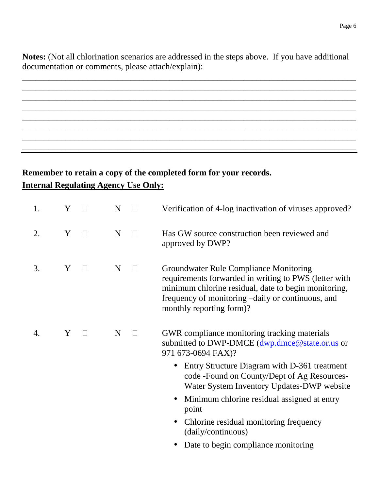**Notes:** (Not all chlorination scenarios are addressed in the steps above. If you have additional documentation or comments, please attach/explain):

\_\_\_\_\_\_\_\_\_\_\_\_\_\_\_\_\_\_\_\_\_\_\_\_\_\_\_\_\_\_\_\_\_\_\_\_\_\_\_\_\_\_\_\_\_\_\_\_\_\_\_\_\_\_\_\_\_\_\_\_\_\_\_\_\_\_\_\_\_\_\_\_\_\_\_\_\_ \_\_\_\_\_\_\_\_\_\_\_\_\_\_\_\_\_\_\_\_\_\_\_\_\_\_\_\_\_\_\_\_\_\_\_\_\_\_\_\_\_\_\_\_\_\_\_\_\_\_\_\_\_\_\_\_\_\_\_\_\_\_\_\_\_\_\_\_\_\_\_\_\_\_\_\_\_ \_\_\_\_\_\_\_\_\_\_\_\_\_\_\_\_\_\_\_\_\_\_\_\_\_\_\_\_\_\_\_\_\_\_\_\_\_\_\_\_\_\_\_\_\_\_\_\_\_\_\_\_\_\_\_\_\_\_\_\_\_\_\_\_\_\_\_\_\_\_\_\_\_\_\_\_\_ \_\_\_\_\_\_\_\_\_\_\_\_\_\_\_\_\_\_\_\_\_\_\_\_\_\_\_\_\_\_\_\_\_\_\_\_\_\_\_\_\_\_\_\_\_\_\_\_\_\_\_\_\_\_\_\_\_\_\_\_\_\_\_\_\_\_\_\_\_\_\_\_\_\_\_\_\_ \_\_\_\_\_\_\_\_\_\_\_\_\_\_\_\_\_\_\_\_\_\_\_\_\_\_\_\_\_\_\_\_\_\_\_\_\_\_\_\_\_\_\_\_\_\_\_\_\_\_\_\_\_\_\_\_\_\_\_\_\_\_\_\_\_\_\_\_\_\_\_\_\_\_\_\_\_ \_\_\_\_\_\_\_\_\_\_\_\_\_\_\_\_\_\_\_\_\_\_\_\_\_\_\_\_\_\_\_\_\_\_\_\_\_\_\_\_\_\_\_\_\_\_\_\_\_\_\_\_\_\_\_\_\_\_\_\_\_\_\_\_\_\_\_\_\_\_\_\_\_\_\_\_\_ \_\_\_\_\_\_\_\_\_\_\_\_\_\_\_\_\_\_\_\_\_\_\_\_\_\_\_\_\_\_\_\_\_\_\_\_\_\_\_\_\_\_\_\_\_\_\_\_\_\_\_\_\_\_\_\_\_\_\_\_\_\_\_\_\_\_\_\_\_\_\_\_\_\_\_\_\_ \_\_\_\_\_\_\_\_\_\_\_\_\_\_\_\_\_\_\_\_\_\_\_\_\_\_\_\_\_\_\_\_\_\_\_\_\_\_\_\_\_\_\_\_\_\_\_\_\_\_\_\_\_\_\_\_\_\_\_\_\_\_\_\_\_\_\_\_\_\_\_\_\_\_\_\_\_

# **Remember to retain a copy of the completed form for your records. Internal Regulating Agency Use Only:**

| 1. | Y |        | N | Verification of 4-log inactivation of viruses approved?                                                                                                                                                                                  |
|----|---|--------|---|------------------------------------------------------------------------------------------------------------------------------------------------------------------------------------------------------------------------------------------|
| 2. | Y | $\Box$ | N | Has GW source construction been reviewed and<br>approved by DWP?                                                                                                                                                                         |
| 3. | Y |        | N | Groundwater Rule Compliance Monitoring<br>requirements forwarded in writing to PWS (letter with<br>minimum chlorine residual, date to begin monitoring,<br>frequency of monitoring -daily or continuous, and<br>monthly reporting form)? |
| 4. | Y |        | N | GWR compliance monitoring tracking materials<br>submitted to DWP-DMCE (dwp.dmce@state.or.us or<br>971 673-0694 FAX)?                                                                                                                     |
|    |   |        |   | Entry Structure Diagram with D-361 treatment<br>code - Found on County/Dept of Ag Resources-<br>Water System Inventory Updates-DWP website                                                                                               |
|    |   |        |   | Minimum chlorine residual assigned at entry<br>$\bullet$<br>point                                                                                                                                                                        |
|    |   |        |   | Chlorine residual monitoring frequency<br>$\bullet$<br>(daily/continuous)                                                                                                                                                                |
|    |   |        |   | Date to begin compliance monitoring                                                                                                                                                                                                      |